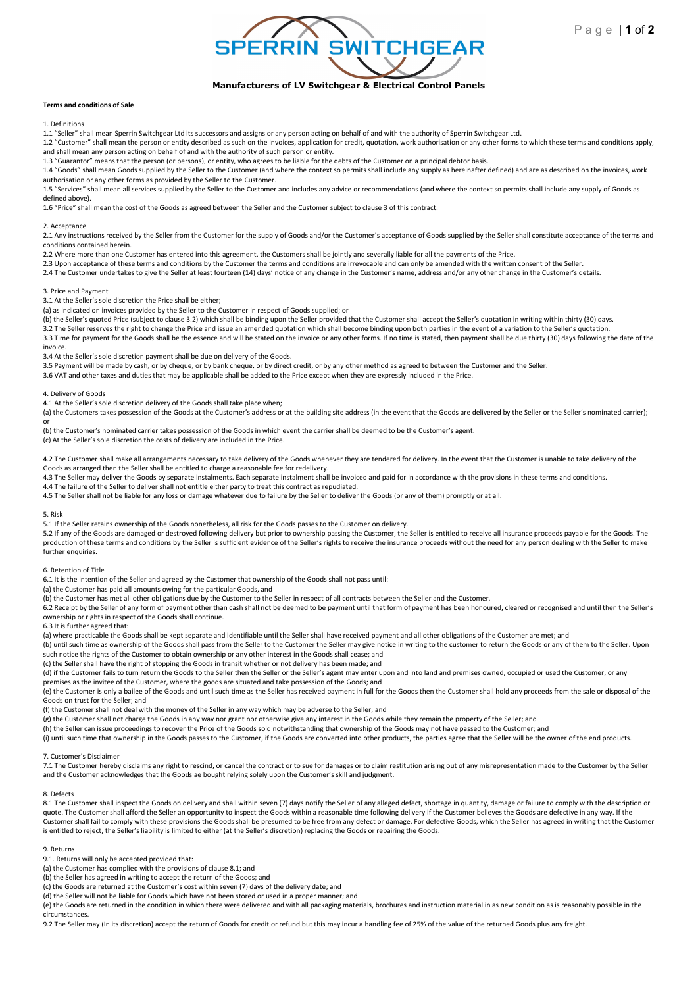

# Terms and conditions of Sale

1. Definitions

1.1 "Seller" shall mean Sperrin Switchgear Ltd its successors and assigns or any person acting on behalf of and with the authority of Sperrin Switchgear Ltd.

1.2 "Customer" shall mean the person or entity described as such on the invoices, application for credit, quotation, work authorisation or any other forms to which these terms and conditions apply, and shall mean any person acting on behalf of and with the authority of such person or entity.

1.3 "Guarantor" means that the person (or persons), or entity, who agrees to be liable for the debts of the Customer on a principal debtor basis.

1.4 "Goods" shall mean Goods supplied by the Seller to the Customer (and where the context so permits shall include any supply as hereinafter defined) and are as described on the invoices, work authorisation or any other forms as provided by the Seller to the Customer.

1.5 "Services" shall mean all services supplied by the Seller to the Customer and includes any advice or recommendations (and where the context so permits shall include any supply of Goods as defined above).

1.6 "Price" shall mean the cost of the Goods as agreed between the Seller and the Customer subject to clause 3 of this contract.

# 2. Acceptance

2.1 Any instructions received by the Seller from the Customer for the supply of Goods and/or the Customer's acceptance of Goods supplied by the Seller shall constitute acceptance of the terms and conditions contained herein.

2.2 Where more than one Customer has entered into this agreement, the Customers shall be jointly and severally liable for all the payments of the Price.

2.3 Upon acceptance of these terms and conditions by the Customer the terms and conditions are irrevocable and can only be amended with the written consent of the Seller.

2.4 The Customer undertakes to give the Seller at least fourteen (14) days' notice of any change in the Customer's name, address and/or any other change in the Customer's details.

#### 3. Price and Payment

3.1 At the Seller's sole discretion the Price shall be either;

(a) as indicated on invoices provided by the Seller to the Customer in respect of Goods supplied; or

(b) the Seller's quoted Price (subject to clause 3.2) which shall be binding upon the Seller provided that the Customer shall accept the Seller's quotation in writing within thirty (30) days.

3.2 The Seller reserves the right to change the Price and issue an amended quotation which shall become binding upon both parties in the event of a variation to the Seller's quotation. 3.3 Time for payment for the Goods shall be the essence and will be stated on the invoice or any other forms. If no time is stated, then payment shall be due thirty (30) days following the date of the invoice.

3.4 At the Seller's sole discretion payment shall be due on delivery of the Goods.

3.5 Payment will be made by cash, or by cheque, or by bank cheque, or by direct credit, or by any other method as agreed to between the Customer and the Seller.

3.6 VAT and other taxes and duties that may be applicable shall be added to the Price except when they are expressly included in the Price.

# 4. Delivery of Goods

4.1 At the Seller's sole discretion delivery of the Goods shall take place when;

(a) the Customers takes possession of the Goods at the Customer's address or at the building site address (in the event that the Goods are delivered by the Seller or the Seller's nominated carrier); or

(b) the Customer's nominated carrier takes possession of the Goods in which event the carrier shall be deemed to be the Customer's agent. (c) At the Seller's sole discretion the costs of delivery are included in the Price.

4.2 The Customer shall make all arrangements necessary to take delivery of the Goods whenever they are tendered for delivery. In the event that the Customer is unable to take delivery of the Goods as arranged then the Seller shall be entitled to charge a reasonable fee for redelivery.

4.3 The Seller may deliver the Goods by separate instalments. Each separate instalment shall be invoiced and paid for in accordance with the provisions in these terms and conditions.

4.4 The failure of the Seller to deliver shall not entitle either party to treat this contract as repudiated.

4.5 The Seller shall not be liable for any loss or damage whatever due to failure by the Seller to deliver the Goods (or any of them) promptly or at all.

#### 5. Risk

5.1 If the Seller retains ownership of the Goods nonetheless, all risk for the Goods passes to the Customer on delivery.

5.2 If any of the Goods are damaged or destroyed following delivery but prior to ownership passing the Customer, the Seller is entitled to receive all insurance proceeds payable for the Goods. The production of these terms and conditions by the Seller is sufficient evidence of the Seller's rights to receive the insurance proceeds without the need for any person dealing with the Seller to make further enquiries

# 6. Retention of Title

6.1 It is the intention of the Seller and agreed by the Customer that ownership of the Goods shall not pass until:

(a) the Customer has paid all amounts owing for the particular Goods, and

(b) the Customer has met all other obligations due by the Customer to the Seller in respect of all contracts between the Seller and the Customer.

6.2 Receipt by the Seller of any form of payment other than cash shall not be deemed to be payment until that form of payment has been honoured, cleared or recognised and until then the Seller's ownership or rights in respect of the Goods shall continue.

#### 6.3 It is further agreed that:

(a) where practicable the Goods shall be kept separate and identifiable until the Seller shall have received payment and all other obligations of the Customer are met; and

(b) until such time as ownership of the Goods shall pass from the Seller to the Customer the Seller may give notice in writing to the customer to return the Goods or any of them to the Seller. Upon such notice the rights of the Customer to obtain ownership or any other interest in the Goods shall cease; and

(c) the Seller shall have the right of stopping the Goods in transit whether or not delivery has been made; and

(d) if the Customer fails to turn return the Goods to the Seller then the Seller or the Seller's agent may enter upon and into land and premises owned, occupied or used the Customer, or any premises as the invitee of the Customer, where the goods are situated and take possession of the Goods; and

(e) the Customer is only a bailee of the Goods and until such time as the Seller has received payment in full for the Goods then the Customer shall hold any proceeds from the sale or disposal of the Goods on trust for the Seller; and

(f) the Customer shall not deal with the money of the Seller in any way which may be adverse to the Seller; and

(g) the Customer shall not charge the Goods in any way nor grant nor otherwise give any interest in the Goods while they remain the property of the Seller; and

(h) the Seller can issue proceedings to recover the Price of the Goods sold notwithstanding that ownership of the Goods may not have passed to the Customer; and (i) until such time that ownership in the Goods passes to the Customer, if the Goods are converted into other products, the parties agree that the Seller will be the owner of the end products.

# 7. Customer's Disclaimer

7.1 The Customer hereby disclaims any right to rescind, or cancel the contract or to sue for damages or to claim restitution arising out of any misrepresentation made to the Customer by the Seller and the Customer acknowledges that the Goods ae bought relying solely upon the Customer's skill and judgment.

# 8. Defects

8.1 The Customer shall inspect the Goods on delivery and shall within seven (7) days notify the Seller of any alleged defect, shortage in quantity, damage or failure to comply with the description or quote. The Customer shall afford the Seller an opportunity to inspect the Goods within a reasonable time following delivery if the Customer believes the Goods are defective in any way. If the Customer shall fail to comply with these provisions the Goods shall be presumed to be free from any defect or damage. For defective Goods, which the Seller has agreed in writing that the Customer is entitled to reject, the Seller's liability is limited to either (at the Seller's discretion) replacing the Goods or repairing the Goods.

# 9. Returns

9.1. Returns will only be accepted provided that:

(a) the Customer has complied with the provisions of clause 8.1; and

(b) the Seller has agreed in writing to accept the return of the Goods; and

(c) the Goods are returned at the Customer's cost within seven (7) days of the delivery date; and

(d) the Seller will not be liable for Goods which have not been stored or used in a proper manner; and

(e) the Goods are returned in the condition in which there were delivered and with all packaging materials, brochures and instruction material in as new condition as is reasonably possible in the circumstances.

9.2 The Seller may (In its discretion) accept the return of Goods for credit or refund but this may incur a handling fee of 25% of the value of the returned Goods plus any freight.